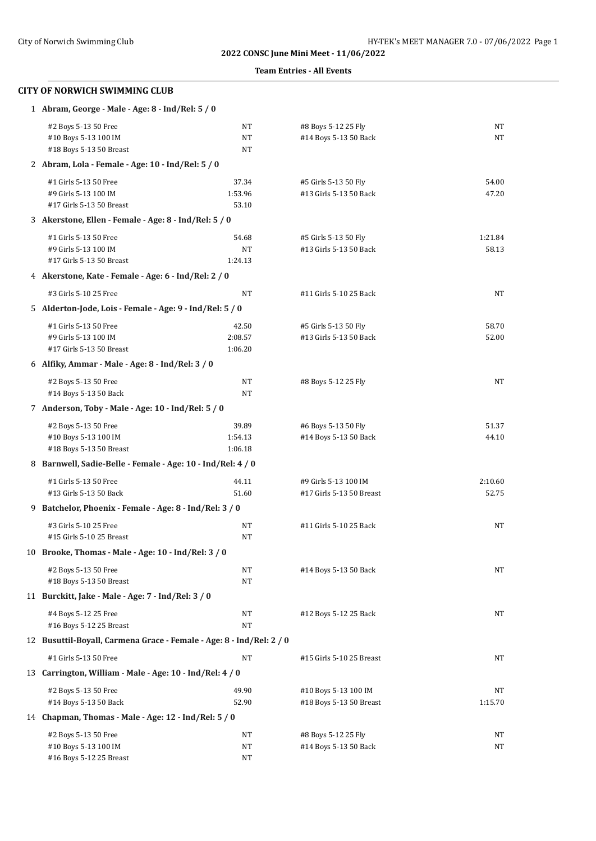**Team Entries - All Events**

| 1 Abram, George - Male - Age: 8 - Ind/Rel: 5 / 0                     |                                                     |                          |         |  |  |
|----------------------------------------------------------------------|-----------------------------------------------------|--------------------------|---------|--|--|
| #2 Boys 5-13 50 Free                                                 | NT                                                  | #8 Boys 5-12 25 Fly      | NT      |  |  |
| #10 Boys 5-13 100 IM                                                 | <b>NT</b>                                           | #14 Boys 5-13 50 Back    | NT      |  |  |
| #18 Boys 5-13 50 Breast                                              | NT                                                  |                          |         |  |  |
| 2 Abram, Lola - Female - Age: 10 - Ind/Rel: 5 / 0                    |                                                     |                          |         |  |  |
| #1 Girls 5-13 50 Free                                                | 37.34                                               | #5 Girls 5-13 50 Fly     | 54.00   |  |  |
| #9 Girls 5-13 100 IM                                                 | 1:53.96                                             | #13 Girls 5-13 50 Back   | 47.20   |  |  |
| #17 Girls 5-13 50 Breast                                             | 53.10                                               |                          |         |  |  |
| 3 Akerstone, Ellen - Female - Age: 8 - Ind/Rel: 5 / 0                |                                                     |                          |         |  |  |
| #1 Girls 5-13 50 Free                                                | 54.68                                               | #5 Girls 5-13 50 Fly     | 1:21.84 |  |  |
| #9 Girls 5-13 100 IM                                                 | NT                                                  | #13 Girls 5-13 50 Back   | 58.13   |  |  |
| #17 Girls 5-13 50 Breast                                             | 1:24.13                                             |                          |         |  |  |
| 4 Akerstone, Kate - Female - Age: 6 - Ind/Rel: 2 / 0                 |                                                     |                          |         |  |  |
| #3 Girls 5-10 25 Free                                                | NT                                                  | #11 Girls 5-10 25 Back   | NT      |  |  |
| 5 Alderton-Jode, Lois - Female - Age: 9 - Ind/Rel: 5 / 0             |                                                     |                          |         |  |  |
| #1 Girls 5-13 50 Free                                                | 42.50                                               | #5 Girls 5-13 50 Fly     | 58.70   |  |  |
| #9 Girls 5-13 100 IM                                                 | 2:08.57                                             | #13 Girls 5-13 50 Back   | 52.00   |  |  |
| #17 Girls 5-13 50 Breast                                             | 1:06.20                                             |                          |         |  |  |
| 6 Alfiky, Ammar - Male - Age: 8 - Ind/Rel: 3 / 0                     |                                                     |                          |         |  |  |
| #2 Boys 5-13 50 Free                                                 | NT                                                  | #8 Boys 5-12 25 Fly      | NT      |  |  |
| #14 Boys 5-13 50 Back                                                | NT                                                  |                          |         |  |  |
| 7 Anderson, Toby - Male - Age: 10 - Ind/Rel: 5 / 0                   |                                                     |                          |         |  |  |
| #2 Boys 5-13 50 Free                                                 | 39.89                                               | #6 Boys 5-13 50 Fly      | 51.37   |  |  |
| #10 Boys 5-13 100 IM                                                 | 1:54.13                                             | #14 Boys 5-13 50 Back    | 44.10   |  |  |
| #18 Boys 5-13 50 Breast                                              | 1:06.18                                             |                          |         |  |  |
| 8 Barnwell, Sadie-Belle - Female - Age: 10 - Ind/Rel: 4 / 0          |                                                     |                          |         |  |  |
| #1 Girls 5-13 50 Free                                                | 44.11                                               | #9 Girls 5-13 100 IM     | 2:10.60 |  |  |
| #13 Girls 5-13 50 Back                                               | 51.60                                               | #17 Girls 5-13 50 Breast | 52.75   |  |  |
| 9 Batchelor, Phoenix - Female - Age: 8 - Ind/Rel: 3 / 0              |                                                     |                          |         |  |  |
| #3 Girls 5-10 25 Free                                                | NT                                                  | #11 Girls 5-10 25 Back   | NT      |  |  |
| #15 Girls 5-10 25 Breast                                             | NT                                                  |                          |         |  |  |
|                                                                      | 10 Brooke, Thomas - Male - Age: 10 - Ind/Rel: 3 / 0 |                          |         |  |  |
|                                                                      |                                                     |                          | NT      |  |  |
| #2 Boys 5-13 50 Free<br>#18 Boys 5-13 50 Breast                      | NT<br>NT                                            | #14 Boys 5-13 50 Back    |         |  |  |
| 11 Burckitt, Jake - Male - Age: 7 - Ind/Rel: 3 / 0                   |                                                     |                          |         |  |  |
|                                                                      |                                                     |                          |         |  |  |
| #4 Boys 5-12 25 Free<br>#16 Boys 5-12 25 Breast                      | NT<br><b>NT</b>                                     | #12 Boys 5-12 25 Back    | NT      |  |  |
| 12 Busuttil-Boyall, Carmena Grace - Female - Age: 8 - Ind/Rel: 2 / 0 |                                                     |                          |         |  |  |
|                                                                      |                                                     |                          |         |  |  |
| #1 Girls 5-13 50 Free                                                | NT                                                  | #15 Girls 5-10 25 Breast | NT      |  |  |
| 13 Carrington, William - Male - Age: 10 - Ind/Rel: 4 / 0             |                                                     |                          |         |  |  |
| #2 Boys 5-13 50 Free                                                 | 49.90                                               | #10 Boys 5-13 100 IM     | NT      |  |  |
| #14 Boys 5-13 50 Back                                                | 52.90                                               | #18 Boys 5-13 50 Breast  | 1:15.70 |  |  |
| 14 Chapman, Thomas - Male - Age: 12 - Ind/Rel: 5 / 0                 |                                                     |                          |         |  |  |
| #2 Boys 5-13 50 Free                                                 | NT                                                  | #8 Boys 5-12 25 Fly      | NT      |  |  |
| #10 Boys 5-13 100 IM                                                 | NT                                                  | #14 Boys 5-13 50 Back    | NT      |  |  |
| #16 Boys 5-12 25 Breast                                              | NT                                                  |                          |         |  |  |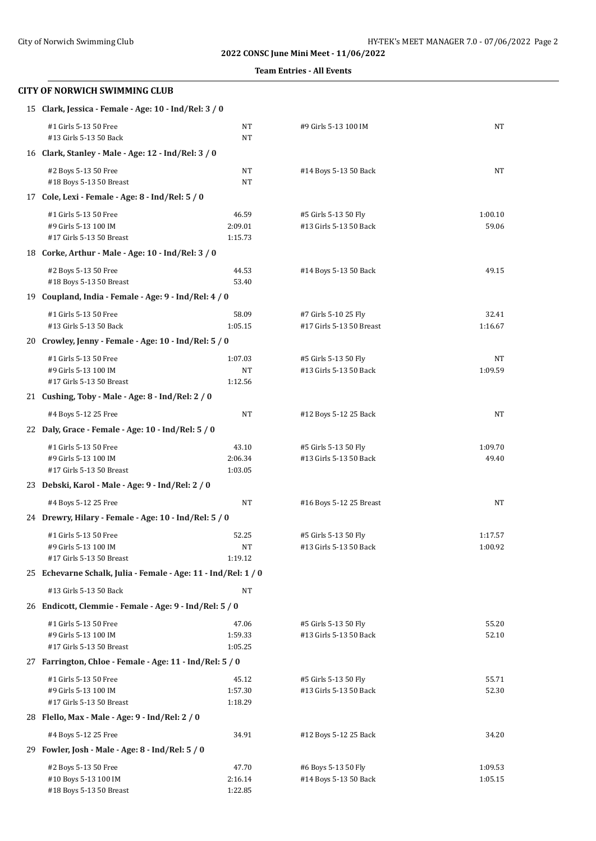**Team Entries - All Events**

| 15 Clark, Jessica - Female - Age: 10 - Ind/Rel: 3 / 0          |                  |                                                |               |  |
|----------------------------------------------------------------|------------------|------------------------------------------------|---------------|--|
| #1 Girls 5-13 50 Free<br>#13 Girls 5-13 50 Back                | NT<br>NT         | #9 Girls 5-13 100 IM                           | NT            |  |
| 16 Clark, Stanley - Male - Age: 12 - Ind/Rel: 3 / 0            |                  |                                                |               |  |
| #2 Boys 5-13 50 Free<br>#18 Boys 5-13 50 Breast                | NT<br>NT         | #14 Boys 5-13 50 Back                          | NT            |  |
| 17 Cole, Lexi - Female - Age: 8 - Ind/Rel: 5 / 0               |                  |                                                |               |  |
| #1 Girls 5-13 50 Free                                          | 46.59            | #5 Girls 5-13 50 Fly                           | 1:00.10       |  |
| #9 Girls 5-13 100 IM                                           | 2:09.01          | #13 Girls 5-13 50 Back                         | 59.06         |  |
| #17 Girls 5-13 50 Breast                                       | 1:15.73          |                                                |               |  |
| 18 Corke, Arthur - Male - Age: 10 - Ind/Rel: 3 / 0             |                  |                                                |               |  |
| #2 Boys 5-13 50 Free                                           | 44.53            | #14 Boys 5-13 50 Back                          | 49.15         |  |
| #18 Boys 5-13 50 Breast                                        | 53.40            |                                                |               |  |
| 19 Coupland, India - Female - Age: 9 - Ind/Rel: 4 / 0          |                  |                                                |               |  |
| #1 Girls 5-13 50 Free                                          | 58.09            | #7 Girls 5-10 25 Fly                           | 32.41         |  |
| #13 Girls 5-13 50 Back                                         | 1:05.15          | #17 Girls 5-13 50 Breast                       | 1:16.67       |  |
| 20 Crowley, Jenny - Female - Age: 10 - Ind/Rel: 5 / 0          |                  |                                                |               |  |
|                                                                |                  |                                                |               |  |
| #1 Girls 5-13 50 Free<br>#9 Girls 5-13 100 IM                  | 1:07.03<br>NT    | #5 Girls 5-13 50 Fly<br>#13 Girls 5-13 50 Back | NT<br>1:09.59 |  |
| #17 Girls 5-13 50 Breast                                       | 1:12.56          |                                                |               |  |
| 21 Cushing, Toby - Male - Age: 8 - Ind/Rel: 2 / 0              |                  |                                                |               |  |
| #4 Boys 5-12 25 Free                                           | NT               | #12 Boys 5-12 25 Back                          | NT            |  |
| 22 Daly, Grace - Female - Age: 10 - Ind/Rel: 5 / 0             |                  |                                                |               |  |
|                                                                |                  |                                                |               |  |
| #1 Girls 5-13 50 Free                                          | 43.10<br>2:06.34 | #5 Girls 5-13 50 Fly                           | 1:09.70       |  |
| #9 Girls 5-13 100 IM<br>#17 Girls 5-13 50 Breast               | 1:03.05          | #13 Girls 5-13 50 Back                         | 49.40         |  |
| 23 Debski, Karol - Male - Age: 9 - Ind/Rel: 2 / 0              |                  |                                                |               |  |
|                                                                |                  |                                                |               |  |
| #4 Boys 5-12 25 Free                                           | NT               | #16 Boys 5-12 25 Breast                        | NT            |  |
| 24 Drewry, Hilary - Female - Age: 10 - Ind/Rel: 5 / 0          |                  |                                                |               |  |
| #1 Girls 5-13 50 Free                                          | 52.25            | #5 Girls 5-13 50 Fly                           | 1:17.57       |  |
| #9 Girls 5-13 100 IM                                           | NT               | #13 Girls 5-13 50 Back                         | 1:00.92       |  |
| #17 Girls 5-13 50 Breast                                       | 1:19.12          |                                                |               |  |
| 25 Echevarne Schalk, Julia - Female - Age: 11 - Ind/Rel: 1 / 0 |                  |                                                |               |  |
| #13 Girls 5-13 50 Back                                         | NT               |                                                |               |  |
| 26 Endicott, Clemmie - Female - Age: 9 - Ind/Rel: 5 / 0        |                  |                                                |               |  |
| #1 Girls 5-13 50 Free                                          | 47.06            | #5 Girls 5-13 50 Fly                           | 55.20         |  |
| #9 Girls 5-13 100 IM                                           | 1:59.33          | #13 Girls 5-13 50 Back                         | 52.10         |  |
| #17 Girls 5-13 50 Breast                                       | 1:05.25          |                                                |               |  |
| 27 Farrington, Chloe - Female - Age: 11 - Ind/Rel: 5 / 0       |                  |                                                |               |  |
| #1 Girls 5-13 50 Free                                          | 45.12            | #5 Girls 5-13 50 Fly                           | 55.71         |  |
| #9 Girls 5-13 100 IM                                           | 1:57.30          | #13 Girls 5-13 50 Back                         | 52.30         |  |
| #17 Girls 5-13 50 Breast                                       | 1:18.29          |                                                |               |  |
| 28 Flello, Max - Male - Age: 9 - Ind/Rel: 2 / 0                |                  |                                                |               |  |
| #4 Boys 5-12 25 Free                                           | 34.91            | #12 Boys 5-12 25 Back                          | 34.20         |  |
| 29 Fowler, Josh - Male - Age: 8 - Ind/Rel: 5 / 0               |                  |                                                |               |  |
| #2 Boys 5-13 50 Free                                           | 47.70            | #6 Boys 5-13 50 Fly                            | 1:09.53       |  |
| #10 Boys 5-13 100 IM                                           | 2:16.14          | #14 Boys 5-13 50 Back                          | 1:05.15       |  |
| #18 Boys 5-13 50 Breast                                        | 1:22.85          |                                                |               |  |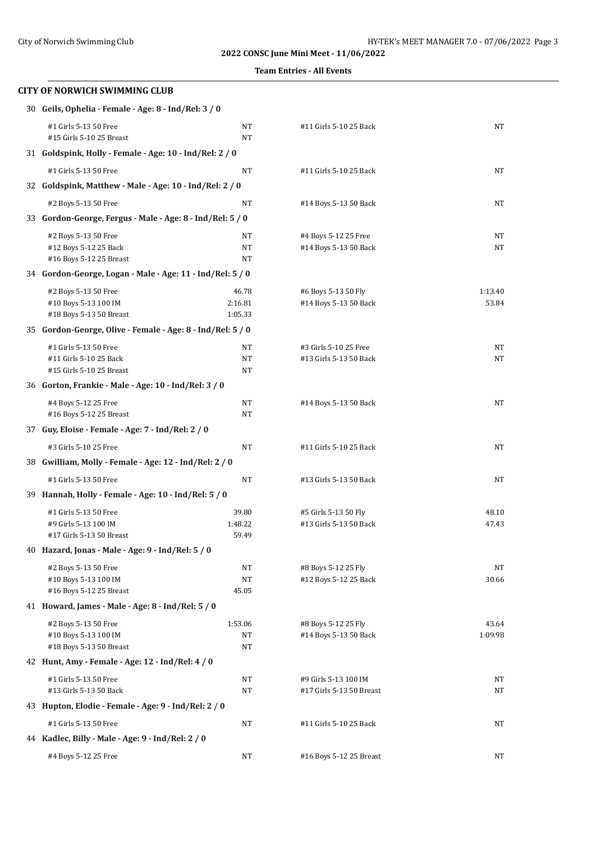**Team Entries - All Events**

# **CITY OF NORWICH SWIMMING CLUB** 30 **Geils, Ophelia - Female - Age: 8 - Ind/Rel: 3 / 0**

| #1 Girls 5-13 50 Free<br>#15 Girls 5-10 25 Breast          | NT<br>NT           | #11 Girls 5-10 25 Back                          | NT          |  |  |
|------------------------------------------------------------|--------------------|-------------------------------------------------|-------------|--|--|
| 31 Goldspink, Holly - Female - Age: 10 - Ind/Rel: 2 / 0    |                    |                                                 |             |  |  |
| #1 Girls 5-13 50 Free                                      | NT                 | #11 Girls 5-10 25 Back                          | <b>NT</b>   |  |  |
| 32 Goldspink, Matthew - Male - Age: 10 - Ind/Rel: 2 / 0    |                    |                                                 |             |  |  |
|                                                            |                    |                                                 |             |  |  |
| #2 Boys 5-13 50 Free                                       | NT                 | #14 Boys 5-13 50 Back                           | NT          |  |  |
| 33 Gordon-George, Fergus - Male - Age: 8 - Ind/Rel: 5 / 0  |                    |                                                 |             |  |  |
| #2 Boys 5-13 50 Free                                       | NT                 | #4 Boys 5-12 25 Free                            | NT          |  |  |
| #12 Boys 5-12 25 Back<br>#16 Boys 5-12 25 Breast           | NT<br>NT           | #14 Boys 5-13 50 Back                           | NT          |  |  |
| 34 Gordon-George, Logan - Male - Age: 11 - Ind/Rel: 5 / 0  |                    |                                                 |             |  |  |
|                                                            |                    |                                                 |             |  |  |
| #2 Boys 5-13 50 Free                                       | 46.78              | #6 Boys 5-13 50 Fly                             | 1:13.40     |  |  |
| #10 Boys 5-13 100 IM<br>#18 Boys 5-13 50 Breast            | 2:16.81<br>1:05.33 | #14 Boys 5-13 50 Back                           | 53.84       |  |  |
| 35 Gordon-George, Olive - Female - Age: 8 - Ind/Rel: 5 / 0 |                    |                                                 |             |  |  |
|                                                            |                    |                                                 |             |  |  |
| #1 Girls 5-13 50 Free<br>#11 Girls 5-10 25 Back            | NT<br>NT           | #3 Girls 5-10 25 Free<br>#13 Girls 5-13 50 Back | NT<br>NT    |  |  |
| #15 Girls 5-10 25 Breast                                   | NT                 |                                                 |             |  |  |
| 36 Gorton, Frankie - Male - Age: 10 - Ind/Rel: 3 / 0       |                    |                                                 |             |  |  |
| #4 Boys 5-12 25 Free                                       | NT                 | #14 Boys 5-13 50 Back                           | NT          |  |  |
| #16 Boys 5-12 25 Breast                                    | NT                 |                                                 |             |  |  |
| 37 Guy, Eloise - Female - Age: 7 - Ind/Rel: 2 / 0          |                    |                                                 |             |  |  |
| #3 Girls 5-10 25 Free                                      | NT                 | #11 Girls 5-10 25 Back                          | NT          |  |  |
| 38 Gwilliam, Molly - Female - Age: 12 - Ind/Rel: 2 / 0     |                    |                                                 |             |  |  |
|                                                            |                    |                                                 |             |  |  |
| #1 Girls 5-13 50 Free                                      | <b>NT</b>          | #13 Girls 5-13 50 Back                          | <b>NT</b>   |  |  |
| 39 Hannah, Holly - Female - Age: 10 - Ind/Rel: 5 / 0       |                    |                                                 |             |  |  |
| #1 Girls 5-13 50 Free                                      | 39.80              | #5 Girls 5-13 50 Fly                            | 48.10       |  |  |
| #9 Girls 5-13 100 IM<br>#17 Girls 5-13 50 Breast           | 1:48.22<br>59.49   | #13 Girls 5-13 50 Back                          | 47.43       |  |  |
| 40 Hazard, Jonas - Male - Age: 9 - Ind/Rel: 5 / 0          |                    |                                                 |             |  |  |
|                                                            |                    |                                                 |             |  |  |
| #2 Boys 5-13 50 Free<br>#10 Boys 5-13 100 IM               | NT<br>NT           | #8 Boys 5-12 25 Fly<br>#12 Boys 5-12 25 Back    | NT<br>30.66 |  |  |
| #16 Boys 5-12 25 Breast                                    | 45.05              |                                                 |             |  |  |
| 41 Howard, James - Male - Age: 8 - Ind/Rel: 5 / 0          |                    |                                                 |             |  |  |
| #2 Boys 5-13 50 Free                                       | 1:53.06            | #8 Boys 5-12 25 Fly                             | 43.64       |  |  |
| #10 Boys 5-13 100 IM                                       | NT                 | #14 Boys 5-13 50 Back                           | 1:09.98     |  |  |
| #18 Boys 5-13 50 Breast                                    | NT                 |                                                 |             |  |  |
| 42 Hunt, Amy - Female - Age: 12 - Ind/Rel: 4 / 0           |                    |                                                 |             |  |  |
| #1 Girls 5-13 50 Free                                      | NT                 | #9 Girls 5-13 100 IM                            | NΤ          |  |  |
| #13 Girls 5-13 50 Back                                     | NT                 | #17 Girls 5-13 50 Breast                        | NT          |  |  |
| 43 Hupton, Elodie - Female - Age: 9 - Ind/Rel: 2 / 0       |                    |                                                 |             |  |  |
| #1 Girls 5-13 50 Free                                      | NT                 | #11 Girls 5-10 25 Back                          | NT          |  |  |
| 44 Kadlec, Billy - Male - Age: 9 - Ind/Rel: 2 / 0          |                    |                                                 |             |  |  |
| #4 Boys 5-12 25 Free                                       | NT                 | #16 Boys 5-12 25 Breast                         | NT          |  |  |
|                                                            |                    |                                                 |             |  |  |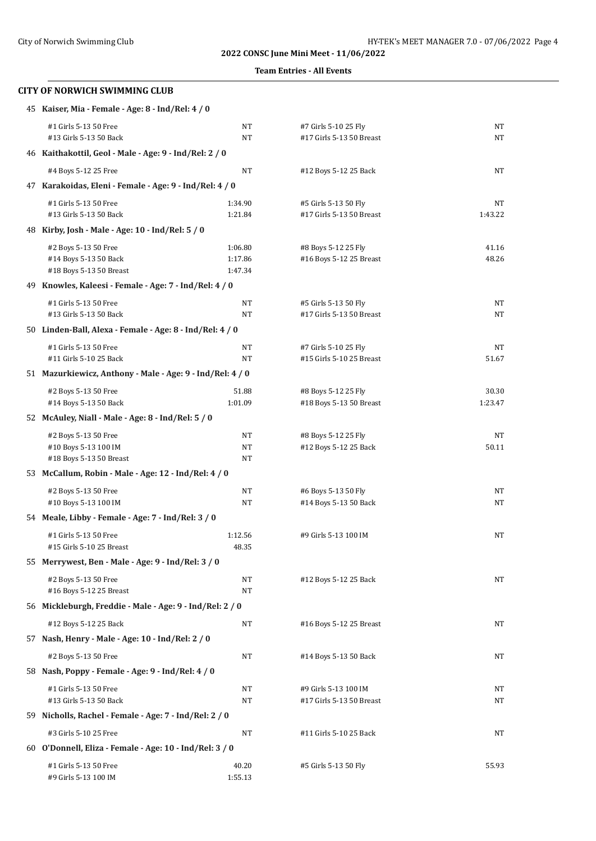#### **Team Entries - All Events**

| 45 Kaiser, Mia - Female - Age: 8 - Ind/Rel: 4 / 0                        |                               |                                                  |                  |  |
|--------------------------------------------------------------------------|-------------------------------|--------------------------------------------------|------------------|--|
| #1 Girls 5-13 50 Free<br>#13 Girls 5-13 50 Back                          | NT<br>NT                      | #7 Girls 5-10 25 Fly<br>#17 Girls 5-13 50 Breast | NT<br>NT         |  |
| 46 Kaithakottil, Geol - Male - Age: 9 - Ind/Rel: 2 / 0                   |                               |                                                  |                  |  |
| #4 Boys 5-12 25 Free                                                     | NT                            | #12 Boys 5-12 25 Back                            | NT               |  |
| 47 Karakoidas, Eleni - Female - Age: 9 - Ind/Rel: 4 / 0                  |                               |                                                  |                  |  |
| #1 Girls 5-13 50 Free<br>#13 Girls 5-13 50 Back                          | 1:34.90<br>1:21.84            | #5 Girls 5-13 50 Fly<br>#17 Girls 5-13 50 Breast | NT<br>1:43.22    |  |
| 48 Kirby, Josh - Male - Age: 10 - Ind/Rel: 5 / 0                         |                               |                                                  |                  |  |
| #2 Boys 5-13 50 Free<br>#14 Boys 5-13 50 Back<br>#18 Boys 5-13 50 Breast | 1:06.80<br>1:17.86<br>1:47.34 | #8 Boys 5-12 25 Fly<br>#16 Boys 5-12 25 Breast   | 41.16<br>48.26   |  |
| 49 Knowles, Kaleesi - Female - Age: 7 - Ind/Rel: 4 / 0                   |                               |                                                  |                  |  |
| #1 Girls 5-13 50 Free<br>#13 Girls 5-13 50 Back                          | NT<br>NT                      | #5 Girls 5-13 50 Fly<br>#17 Girls 5-13 50 Breast | NT<br>NT         |  |
| 50 Linden-Ball, Alexa - Female - Age: 8 - Ind/Rel: 4 / 0                 |                               |                                                  |                  |  |
| #1 Girls 5-13 50 Free<br>#11 Girls 5-10 25 Back                          | NT<br>NT                      | #7 Girls 5-10 25 Fly<br>#15 Girls 5-10 25 Breast | NT<br>51.67      |  |
| 51 Mazurkiewicz, Anthony - Male - Age: 9 - Ind/Rel: 4 / 0                |                               |                                                  |                  |  |
| #2 Boys 5-13 50 Free<br>#14 Boys 5-13 50 Back                            | 51.88<br>1:01.09              | #8 Boys 5-12 25 Fly<br>#18 Boys 5-13 50 Breast   | 30.30<br>1:23.47 |  |
| 52 McAuley, Niall - Male - Age: 8 - Ind/Rel: 5 / 0                       |                               |                                                  |                  |  |
| #2 Boys 5-13 50 Free<br>#10 Boys 5-13 100 IM<br>#18 Boys 5-13 50 Breast  | NT<br>NT<br>NT                | #8 Boys 5-12 25 Fly<br>#12 Boys 5-12 25 Back     | NT<br>50.11      |  |
| 53 McCallum, Robin - Male - Age: 12 - Ind/Rel: 4 / 0                     |                               |                                                  |                  |  |
| #2 Boys 5-13 50 Free<br>#10 Boys 5-13 100 IM                             | NT<br>NT                      | #6 Boys 5-13 50 Fly<br>#14 Boys 5-13 50 Back     | NT<br>NT         |  |
| 54 Meale, Libby - Female - Age: 7 - Ind/Rel: 3 / 0                       |                               |                                                  |                  |  |
| #1 Girls 5-13 50 Free<br>#15 Girls 5-10 25 Breast                        | 1:12.56<br>48.35              | #9 Girls 5-13 100 IM                             | NT               |  |
| 55 Merrywest, Ben - Male - Age: 9 - Ind/Rel: 3 / 0                       |                               |                                                  |                  |  |
| #2 Boys 5-13 50 Free<br>#16 Boys 5-12 25 Breast                          | NT<br>NT                      | #12 Boys 5-12 25 Back                            | NT               |  |
| 56 Mickleburgh, Freddie - Male - Age: 9 - Ind/Rel: 2 / 0                 |                               |                                                  |                  |  |
| #12 Boys 5-12 25 Back                                                    | NT                            | #16 Boys 5-12 25 Breast                          | NT               |  |
| 57 Nash, Henry - Male - Age: 10 - Ind/Rel: 2 / 0                         |                               |                                                  |                  |  |
| #2 Boys 5-13 50 Free                                                     | NT                            | #14 Boys 5-13 50 Back                            | NT               |  |
| 58 Nash, Poppy - Female - Age: 9 - Ind/Rel: 4 / 0                        |                               |                                                  |                  |  |
| #1 Girls 5-13 50 Free<br>#13 Girls 5-13 50 Back                          | NT<br>NT                      | #9 Girls 5-13 100 IM<br>#17 Girls 5-13 50 Breast | NT<br>NT         |  |
| 59 Nicholls, Rachel - Female - Age: 7 - Ind/Rel: 2 / 0                   |                               |                                                  |                  |  |
| #3 Girls 5-10 25 Free                                                    | NT                            | #11 Girls 5-10 25 Back                           | NT               |  |
| 60 O'Donnell, Eliza - Female - Age: 10 - Ind/Rel: 3 / 0                  |                               |                                                  |                  |  |
| #1 Girls 5-13 50 Free<br>#9 Girls 5-13 100 IM                            | 40.20<br>1:55.13              | #5 Girls 5-13 50 Fly                             | 55.93            |  |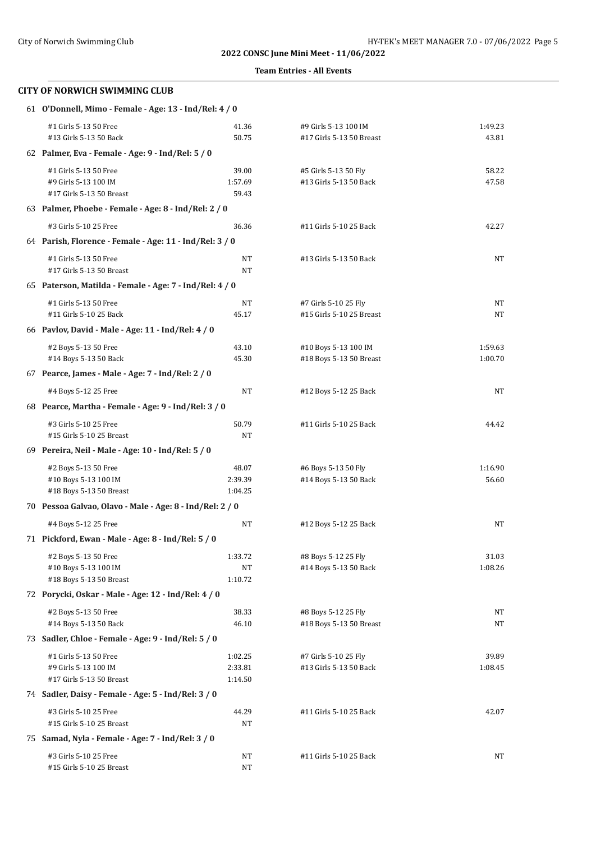### **Team Entries - All Events**

| 61 O'Donnell, Mimo - Female - Age: 13 - Ind/Rel: 4 / 0   |                                                         |                                                |                  |  |  |
|----------------------------------------------------------|---------------------------------------------------------|------------------------------------------------|------------------|--|--|
| #1 Girls 5-13 50 Free                                    | 41.36                                                   | #9 Girls 5-13 100 IM                           | 1:49.23          |  |  |
| #13 Girls 5-13 50 Back                                   | 50.75                                                   | #17 Girls 5-13 50 Breast                       | 43.81            |  |  |
| 62 Palmer, Eva - Female - Age: 9 - Ind/Rel: 5 / 0        |                                                         |                                                |                  |  |  |
| #1 Girls 5-13 50 Free                                    | 39.00                                                   | #5 Girls 5-13 50 Fly                           | 58.22            |  |  |
| #9 Girls 5-13 100 IM                                     | 1:57.69                                                 | #13 Girls 5-13 50 Back                         | 47.58            |  |  |
| #17 Girls 5-13 50 Breast                                 | 59.43                                                   |                                                |                  |  |  |
| 63 Palmer, Phoebe - Female - Age: 8 - Ind/Rel: 2 / 0     |                                                         |                                                |                  |  |  |
| #3 Girls 5-10 25 Free                                    | 36.36                                                   | #11 Girls 5-10 25 Back                         | 42.27            |  |  |
|                                                          | 64 Parish, Florence - Female - Age: 11 - Ind/Rel: 3 / 0 |                                                |                  |  |  |
| #1 Girls 5-13 50 Free                                    | NT                                                      | #13 Girls 5-13 50 Back                         | NT               |  |  |
| #17 Girls 5-13 50 Breast                                 | NT                                                      |                                                |                  |  |  |
| 65 Paterson, Matilda - Female - Age: 7 - Ind/Rel: 4 / 0  |                                                         |                                                |                  |  |  |
| #1 Girls 5-13 50 Free                                    | NT                                                      | #7 Girls 5-10 25 Fly                           | NT               |  |  |
| #11 Girls 5-10 25 Back                                   | 45.17                                                   | #15 Girls 5-10 25 Breast                       | NT               |  |  |
| 66 Pavlov, David - Male - Age: 11 - Ind/Rel: 4 / 0       |                                                         |                                                |                  |  |  |
| #2 Boys 5-13 50 Free                                     | 43.10                                                   | #10 Boys 5-13 100 IM                           | 1:59.63          |  |  |
| #14 Boys 5-13 50 Back                                    | 45.30                                                   | #18 Boys 5-13 50 Breast                        | 1:00.70          |  |  |
| 67 Pearce, James - Male - Age: 7 - Ind/Rel: 2 / 0        |                                                         |                                                |                  |  |  |
| #4 Boys 5-12 25 Free                                     | NT                                                      | #12 Boys 5-12 25 Back                          | NT               |  |  |
| 68 Pearce, Martha - Female - Age: 9 - Ind/Rel: 3 / 0     |                                                         |                                                |                  |  |  |
| #3 Girls 5-10 25 Free                                    | 50.79                                                   | #11 Girls 5-10 25 Back                         | 44.42            |  |  |
| #15 Girls 5-10 25 Breast                                 | NT                                                      |                                                |                  |  |  |
| 69 Pereira, Neil - Male - Age: 10 - Ind/Rel: 5 / 0       |                                                         |                                                |                  |  |  |
| #2 Boys 5-13 50 Free                                     | 48.07                                                   | #6 Boys 5-13 50 Fly                            | 1:16.90          |  |  |
| #10 Boys 5-13 100 IM                                     | 2:39.39                                                 | #14 Boys 5-13 50 Back                          | 56.60            |  |  |
| #18 Boys 5-13 50 Breast                                  | 1:04.25                                                 |                                                |                  |  |  |
| 70 Pessoa Galvao, Olavo - Male - Age: 8 - Ind/Rel: 2 / 0 |                                                         |                                                |                  |  |  |
| #4 Boys 5-12 25 Free                                     | NT                                                      | #12 Boys 5-12 25 Back                          | NT               |  |  |
| 71 Pickford, Ewan - Male - Age: 8 - Ind/Rel: 5 / 0       |                                                         |                                                |                  |  |  |
| #2 Boys 5-13 50 Free                                     | 1:33.72                                                 | #8 Boys 5-12 25 Fly                            | 31.03            |  |  |
| #10 Boys 5-13 100 IM<br>#18 Boys 5-13 50 Breast          | NT                                                      | #14 Boys 5-13 50 Back                          | 1:08.26          |  |  |
|                                                          | 1:10.72                                                 |                                                |                  |  |  |
| 72 Porycki, Oskar - Male - Age: 12 - Ind/Rel: 4 / 0      |                                                         |                                                |                  |  |  |
| #2 Boys 5-13 50 Free<br>#14 Boys 5-13 50 Back            | 38.33<br>46.10                                          | #8 Boys 5-12 25 Fly<br>#18 Boys 5-13 50 Breast | NT<br>NT         |  |  |
| 73 Sadler, Chloe - Female - Age: 9 - Ind/Rel: 5 / 0      |                                                         |                                                |                  |  |  |
|                                                          |                                                         |                                                |                  |  |  |
| #1 Girls 5-13 50 Free<br>#9 Girls 5-13 100 IM            | 1:02.25<br>2:33.81                                      | #7 Girls 5-10 25 Fly<br>#13 Girls 5-13 50 Back | 39.89<br>1:08.45 |  |  |
| #17 Girls 5-13 50 Breast                                 | 1:14.50                                                 |                                                |                  |  |  |
| 74 Sadler, Daisy - Female - Age: 5 - Ind/Rel: 3 / 0      |                                                         |                                                |                  |  |  |
| #3 Girls 5-10 25 Free                                    | 44.29                                                   | #11 Girls 5-10 25 Back                         | 42.07            |  |  |
| #15 Girls 5-10 25 Breast                                 | NT                                                      |                                                |                  |  |  |
| 75 Samad, Nyla - Female - Age: 7 - Ind/Rel: 3 / 0        |                                                         |                                                |                  |  |  |
| #3 Girls 5-10 25 Free                                    | NT                                                      | #11 Girls 5-10 25 Back                         | NT               |  |  |
| #15 Girls 5-10 25 Breast                                 | NT                                                      |                                                |                  |  |  |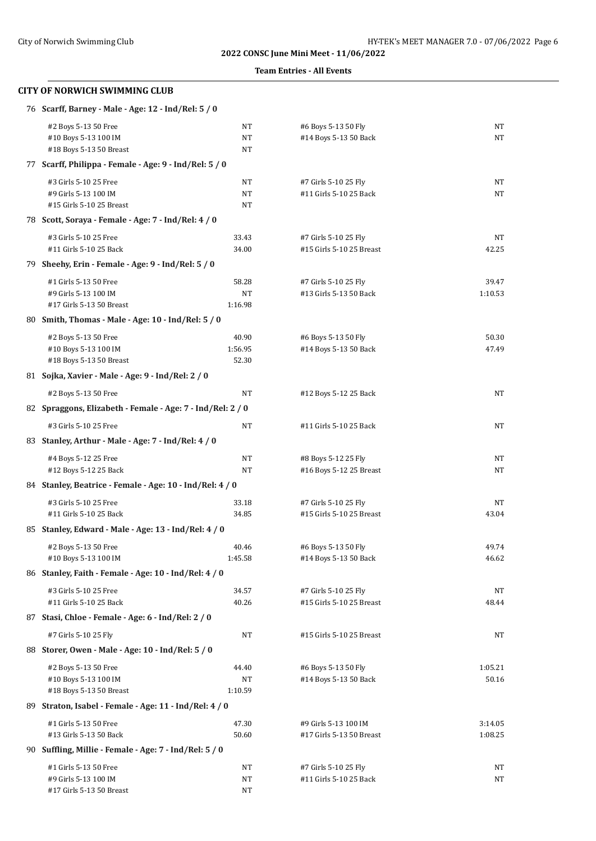#### **Team Entries - All Events**

| 76 Scarff, Barney - Male - Age: 12 - Ind/Rel: 5 / 0                       |                           |                                                  |                    |  |  |
|---------------------------------------------------------------------------|---------------------------|--------------------------------------------------|--------------------|--|--|
| #2 Boys 5-13 50 Free<br>#10 Boys 5-13 100 IM<br>#18 Boys 5-13 50 Breast   | NT<br>NT<br>NT            | #6 Boys 5-13 50 Fly<br>#14 Boys 5-13 50 Back     | NT<br>NT           |  |  |
| 77 Scarff, Philippa - Female - Age: 9 - Ind/Rel: 5 / 0                    |                           |                                                  |                    |  |  |
| #3 Girls 5-10 25 Free<br>#9 Girls 5-13 100 IM<br>#15 Girls 5-10 25 Breast | NT<br>$\rm{NT}$<br>NT     | #7 Girls 5-10 25 Fly<br>#11 Girls 5-10 25 Back   | NT<br><b>NT</b>    |  |  |
| 78 Scott, Soraya - Female - Age: 7 - Ind/Rel: 4 / 0                       |                           |                                                  |                    |  |  |
| #3 Girls 5-10 25 Free<br>#11 Girls 5-10 25 Back                           | 33.43<br>34.00            | #7 Girls 5-10 25 Fly<br>#15 Girls 5-10 25 Breast | NT<br>42.25        |  |  |
| 79 Sheehy, Erin - Female - Age: 9 - Ind/Rel: 5 / 0                        |                           |                                                  |                    |  |  |
| #1 Girls 5-13 50 Free<br>#9 Girls 5-13 100 IM<br>#17 Girls 5-13 50 Breast | 58.28<br>NT<br>1:16.98    | #7 Girls 5-10 25 Fly<br>#13 Girls 5-13 50 Back   | 39.47<br>1:10.53   |  |  |
| 80 Smith, Thomas - Male - Age: 10 - Ind/Rel: 5 / 0                        |                           |                                                  |                    |  |  |
| #2 Boys 5-13 50 Free<br>#10 Boys 5-13 100 IM<br>#18 Boys 5-13 50 Breast   | 40.90<br>1:56.95<br>52.30 | #6 Boys 5-13 50 Fly<br>#14 Boys 5-13 50 Back     | 50.30<br>47.49     |  |  |
| 81 Sojka, Xavier - Male - Age: 9 - Ind/Rel: 2 / 0                         |                           |                                                  |                    |  |  |
| #2 Boys 5-13 50 Free                                                      | NT                        | #12 Boys 5-12 25 Back                            | NT                 |  |  |
| 82 Spraggons, Elizabeth - Female - Age: 7 - Ind/Rel: 2 / 0                |                           |                                                  |                    |  |  |
| #3 Girls 5-10 25 Free                                                     | NT                        | #11 Girls 5-10 25 Back                           | NT                 |  |  |
| 83 Stanley, Arthur - Male - Age: 7 - Ind/Rel: 4 / 0                       |                           |                                                  |                    |  |  |
| #4 Boys 5-12 25 Free<br>#12 Boys 5-12 25 Back                             | NT<br>NT                  | #8 Boys 5-12 25 Fly<br>#16 Boys 5-12 25 Breast   | NT<br>NT           |  |  |
| 84 Stanley, Beatrice - Female - Age: 10 - Ind/Rel: 4 / 0                  |                           |                                                  |                    |  |  |
| #3 Girls 5-10 25 Free<br>#11 Girls 5-10 25 Back                           | 33.18<br>34.85            | #7 Girls 5-10 25 Fly<br>#15 Girls 5-10 25 Breast | NT<br>43.04        |  |  |
| 85 Stanley, Edward - Male - Age: 13 - Ind/Rel: 4 / 0                      |                           |                                                  |                    |  |  |
| #2 Boys 5-13 50 Free<br>#10 Boys 5-13 100 IM                              | 40.46<br>1:45.58          | #6 Boys 5-13 50 Fly<br>#14 Boys 5-13 50 Back     | 49.74<br>46.62     |  |  |
| 86 Stanley, Faith - Female - Age: 10 - Ind/Rel: 4 / 0                     |                           |                                                  |                    |  |  |
| #3 Girls 5-10 25 Free<br>#11 Girls 5-10 25 Back                           | 34.57<br>40.26            | #7 Girls 5-10 25 Fly<br>#15 Girls 5-10 25 Breast | NT<br>48.44        |  |  |
| 87 Stasi, Chloe - Female - Age: 6 - Ind/Rel: 2 / 0                        |                           |                                                  |                    |  |  |
| #7 Girls 5-10 25 Fly                                                      | NT                        | #15 Girls 5-10 25 Breast                         | NT                 |  |  |
| 88 Storer, Owen - Male - Age: 10 - Ind/Rel: 5 / 0                         |                           |                                                  |                    |  |  |
| #2 Boys 5-13 50 Free<br>#10 Boys 5-13 100 IM<br>#18 Boys 5-13 50 Breast   | 44.40<br>NT<br>1:10.59    | #6 Boys 5-13 50 Fly<br>#14 Boys 5-13 50 Back     | 1:05.21<br>50.16   |  |  |
| 89 Straton, Isabel - Female - Age: 11 - Ind/Rel: 4 / 0                    |                           |                                                  |                    |  |  |
| #1 Girls 5-13 50 Free<br>#13 Girls 5-13 50 Back                           | 47.30<br>50.60            | #9 Girls 5-13 100 IM<br>#17 Girls 5-13 50 Breast | 3:14.05<br>1:08.25 |  |  |
| 90 Suffling, Millie - Female - Age: 7 - Ind/Rel: 5 / 0                    |                           |                                                  |                    |  |  |
| #1 Girls 5-13 50 Free<br>#9 Girls 5-13 100 IM<br>#17 Girls 5-13 50 Breast | NT<br>NT<br>$\rm{NT}$     | #7 Girls 5-10 25 Fly<br>#11 Girls 5-10 25 Back   | ΝT<br>NT           |  |  |